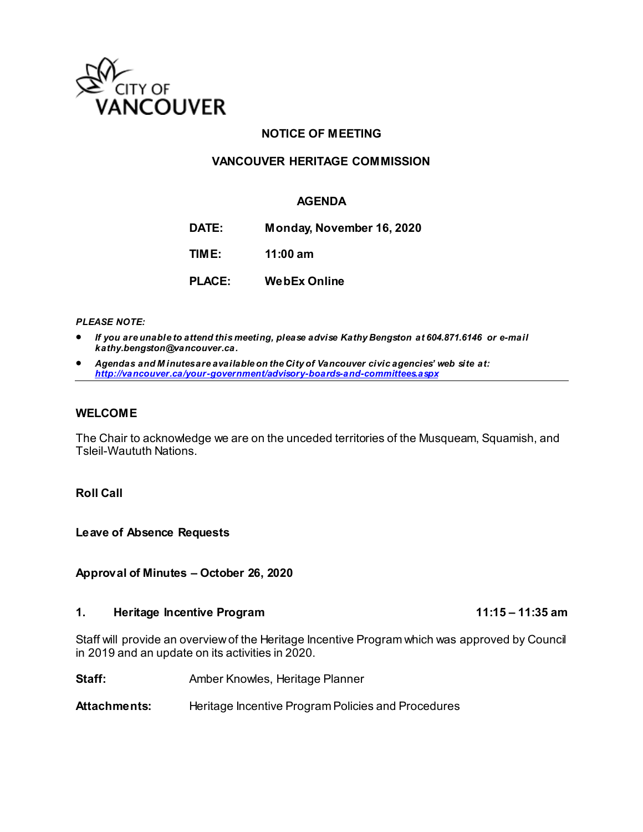

## **NOTICE OF MEETING**

### **VANCOUVER HERITAGE COMMISSION**

### **AGENDA**

**DATE: Monday, November 16, 2020 TIME: 11:00 am PLACE: WebEx Online**

*PLEASE NOTE:*

- *If you are unable to attend this meeting, please advise Kathy Bengston at 604.871.6146 or e-mail kathy.bengston@vancouver.ca.*
- *Agendas and M inutes are available on the City of Vancouver civic agencies' web site at: <http://vancouver.ca/your-government/advisory-boards-and-committees.aspx>*

#### **WELCOME**

The Chair to acknowledge we are on the unceded territories of the Musqueam, Squamish, and Tsleil-Waututh Nations.

#### **Roll Call**

**Leave of Absence Requests** 

**Approval of Minutes – October 26, 2020**

#### **1. Heritage Incentive Program 11:15 – 11:35 am**

Staff will provide an overview of the Heritage Incentive Program which was approved by Council in 2019 and an update on its activities in 2020.

**Staff:** Amber Knowles, Heritage Planner

Attachments: Heritage Incentive Program Policies and Procedures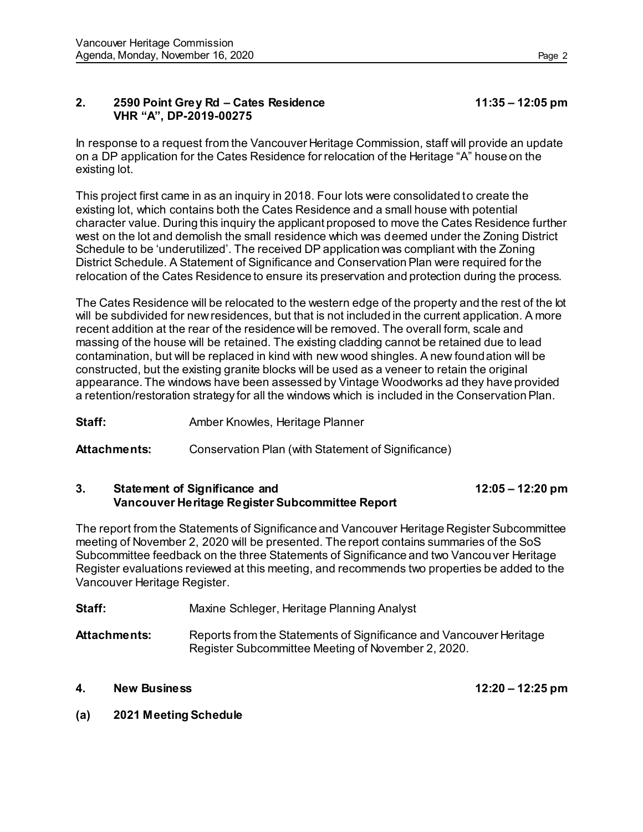### **2. 2590 Point Grey Rd – Cates Residence 11:35 – 12:05 pm VHR "A", DP-2019-00275**

In response to a request from the Vancouver Heritage Commission, staff will provide an update on a DP application for the Cates Residence for relocation of the Heritage "A" house on the existing lot.

This project first came in as an inquiry in 2018. Four lots were consolidated to create the existing lot, which contains both the Cates Residence and a small house with potential character value. During this inquiry the applicant proposed to move the Cates Residence further west on the lot and demolish the small residence which was deemed under the Zoning District Schedule to be 'underutilized'. The received DP application was compliant with the Zoning District Schedule. A Statement of Significance and Conservation Plan were required for the relocation of the Cates Residence to ensure its preservation and protection during the process.

The Cates Residence will be relocated to the western edge of the property and the rest of the lot will be subdivided for new residences, but that is not included in the current application. A more recent addition at the rear of the residence will be removed. The overall form, scale and massing of the house will be retained. The existing cladding cannot be retained due to lead contamination, but will be replaced in kind with new wood shingles. A new foundation will be constructed, but the existing granite blocks will be used as a veneer to retain the original appearance. The windows have been assessed by Vintage Woodworks ad they have provided a retention/restoration strategy for all the windows which is included in the Conservation Plan.

**Staff:** Amber Knowles, Heritage Planner

**Attachments:** Conservation Plan (with Statement of Significance)

### **3. Statement of Significance and 12:05 – 12:20 pm Vancouver Heritage Register Subcommittee Report**

The report from the Statements of Significance and Vancouver Heritage Register Subcommittee meeting of November 2, 2020 will be presented. The report contains summaries of the SoS Subcommittee feedback on the three Statements of Significance and two Vancouver Heritage Register evaluations reviewed at this meeting, and recommends two properties be added to the Vancouver Heritage Register.

| Staff:       | Maxine Schleger, Heritage Planning Analyst                         |
|--------------|--------------------------------------------------------------------|
| Attachments: | Reports from the Statements of Significance and Vancouver Heritage |

Register Subcommittee Meeting of November 2, 2020.

## **4. New Business 12:20 – 12:25 pm**

## **(a) 2021 Meeting Schedule**